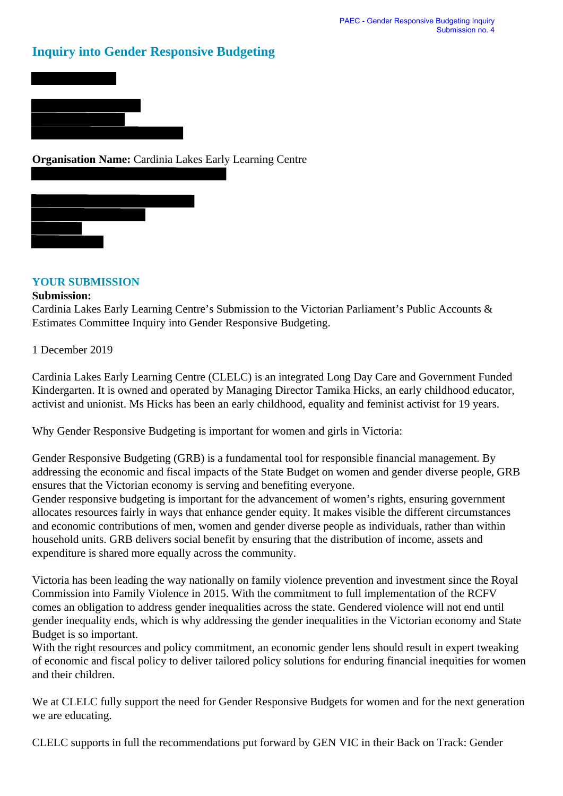## **Inquiry into Gender Responsive Budgeting**





## **YOUR SUBMISSION**

## **Submission:**

Cardinia Lakes Early Learning Centre's Submission to the Victorian Parliament's Public Accounts & Estimates Committee Inquiry into Gender Responsive Budgeting.

1 December 2019

Cardinia Lakes Early Learning Centre (CLELC) is an integrated Long Day Care and Government Funded Kindergarten. It is owned and operated by Managing Director Tamika Hicks, an early childhood educator, activist and unionist. Ms Hicks has been an early childhood, equality and feminist activist for 19 years.

Why Gender Responsive Budgeting is important for women and girls in Victoria:

Gender Responsive Budgeting (GRB) is a fundamental tool for responsible financial management. By addressing the economic and fiscal impacts of the State Budget on women and gender diverse people, GRB ensures that the Victorian economy is serving and benefiting everyone.

Gender responsive budgeting is important for the advancement of women's rights, ensuring government allocates resources fairly in ways that enhance gender equity. It makes visible the different circumstances and economic contributions of men, women and gender diverse people as individuals, rather than within household units. GRB delivers social benefit by ensuring that the distribution of income, assets and expenditure is shared more equally across the community.

Victoria has been leading the way nationally on family violence prevention and investment since the Royal Commission into Family Violence in 2015. With the commitment to full implementation of the RCFV comes an obligation to address gender inequalities across the state. Gendered violence will not end until gender inequality ends, which is why addressing the gender inequalities in the Victorian economy and State Budget is so important.

With the right resources and policy commitment, an economic gender lens should result in expert tweaking of economic and fiscal policy to deliver tailored policy solutions for enduring financial inequities for women and their children.

We at CLELC fully support the need for Gender Responsive Budgets for women and for the next generation we are educating.

CLELC supports in full the recommendations put forward by GEN VIC in their Back on Track: Gender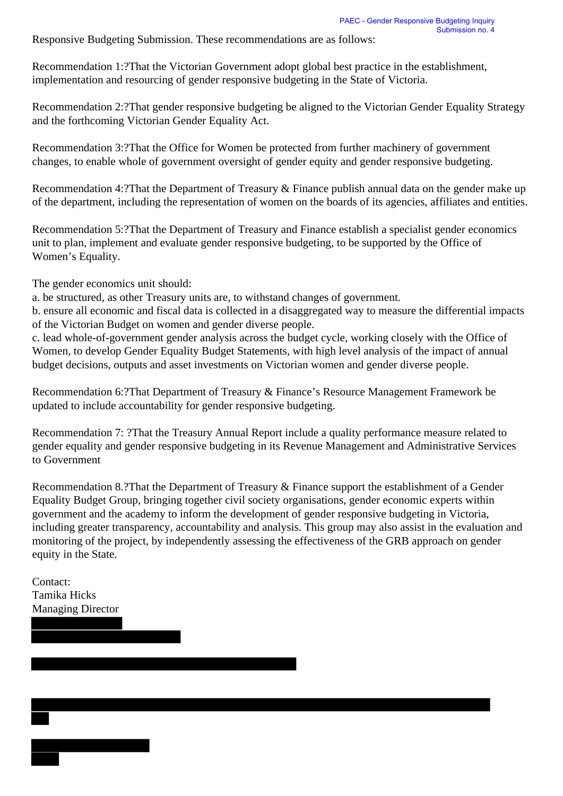Responsive Budgeting Submission. These recommendations are as follows:

Recommendation 1:?That the Victorian Government adopt global best practice in the establishment, implementation and resourcing of gender responsive budgeting in the State of Victoria.

Recommendation 2:?That gender responsive budgeting be aligned to the Victorian Gender Equality Strategy and the forthcoming Victorian Gender Equality Act.

Recommendation 3:?That the Office for Women be protected from further machinery of government changes, to enable whole of government oversight of gender equity and gender responsive budgeting.

Recommendation 4:?That the Department of Treasury & Finance publish annual data on the gender make up of the department, including the representation of women on the boards of its agencies, affiliates and entities.

Recommendation 5:?That the Department of Treasury and Finance establish a specialist gender economics unit to plan, implement and evaluate gender responsive budgeting, to be supported by the Office of Women's Equality.

The gender economics unit should:

a. be structured, as other Treasury units are, to withstand changes of government.

b. ensure all economic and fiscal data is collected in a disaggregated way to measure the differential impacts of the Victorian Budget on women and gender diverse people.

c. lead whole-of-government gender analysis across the budget cycle, working closely with the Office of Women, to develop Gender Equality Budget Statements, with high level analysis of the impact of annual budget decisions, outputs and asset investments on Victorian women and gender diverse people.

Recommendation 6:?That Department of Treasury & Finance's Resource Management Framework be updated to include accountability for gender responsive budgeting.

Recommendation 7: ?That the Treasury Annual Report include a quality performance measure related to gender equality and gender responsive budgeting in its Revenue Management and Administrative Services to Government

Recommendation 8.?That the Department of Treasury & Finance support the establishment of a Gender Equality Budget Group, bringing together civil society organisations, gender economic experts within government and the academy to inform the development of gender responsive budgeting in Victoria, including greater transparency, accountability and analysis. This group may also assist in the evaluation and monitoring of the project, by independently assessing the effectiveness of the GRB approach on gender equity in the State.

Contact: Tamika Hicks Managing Director